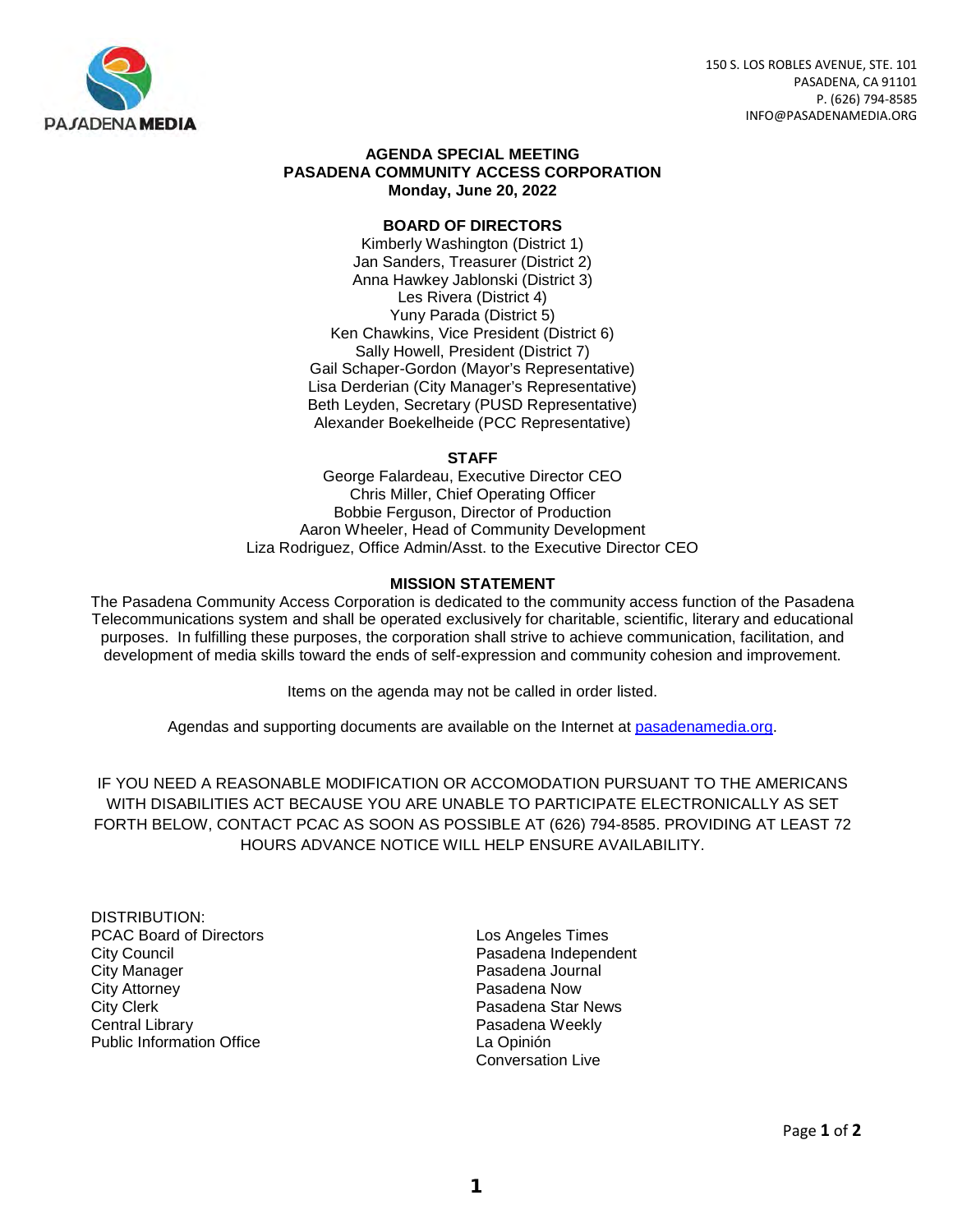

150 S. LOS ROBLES AVENUE, STE. 101 PASADENA, CA 91101 P. (626) 794-8585 INFO@PASADENAMEDIA.ORG

#### **AGENDA SPECIAL MEETING PASADENA COMMUNITY ACCESS CORPORATION Monday, June 20, 2022**

#### **BOARD OF DIRECTORS**

Kimberly Washington (District 1) Jan Sanders, Treasurer (District 2) Anna Hawkey Jablonski (District 3) Les Rivera (District 4) Yuny Parada (District 5) Ken Chawkins, Vice President (District 6) Sally Howell, President (District 7) Gail Schaper-Gordon (Mayor's Representative) Lisa Derderian (City Manager's Representative) Beth Leyden, Secretary (PUSD Representative) Alexander Boekelheide (PCC Representative)

#### **STAFF**

George Falardeau, Executive Director CEO Chris Miller, Chief Operating Officer Bobbie Ferguson, Director of Production Aaron Wheeler, Head of Community Development Liza Rodriguez, Office Admin/Asst. to the Executive Director CEO

#### **MISSION STATEMENT**

The Pasadena Community Access Corporation is dedicated to the community access function of the Pasadena Telecommunications system and shall be operated exclusively for charitable, scientific, literary and educational purposes. In fulfilling these purposes, the corporation shall strive to achieve communication, facilitation, and development of media skills toward the ends of self-expression and community cohesion and improvement.

Items on the agenda may not be called in order listed.

Agendas and supporting documents are available on the Internet at pasadenamedia.org.

IF YOU NEED A REASONABLE MODIFICATION OR ACCOMODATION PURSUANT TO THE AMERICANS WITH DISABILITIES ACT BECAUSE YOU ARE UNABLE TO PARTICIPATE ELECTRONICALLY AS SET FORTH BELOW, CONTACT PCAC AS SOON AS POSSIBLE AT (626) 794-8585. PROVIDING AT LEAST 72 HOURS ADVANCE NOTICE WILL HELP ENSURE AVAILABILITY.

- DISTRIBUTION: PCAC Board of Directors **Los Angeles Times** City Council **Constant Council** Pasadena Independent City Manager **Pasadena Journal**<br>City Attorney **Pasadena Now**<br>City Attorney **City Attorney** City Clerk **Pasadena Star News** Central Library **Pasadena Weekly**<br>
Public Information Office **Property Public Information Office** Public Information Office
	- Conversation Live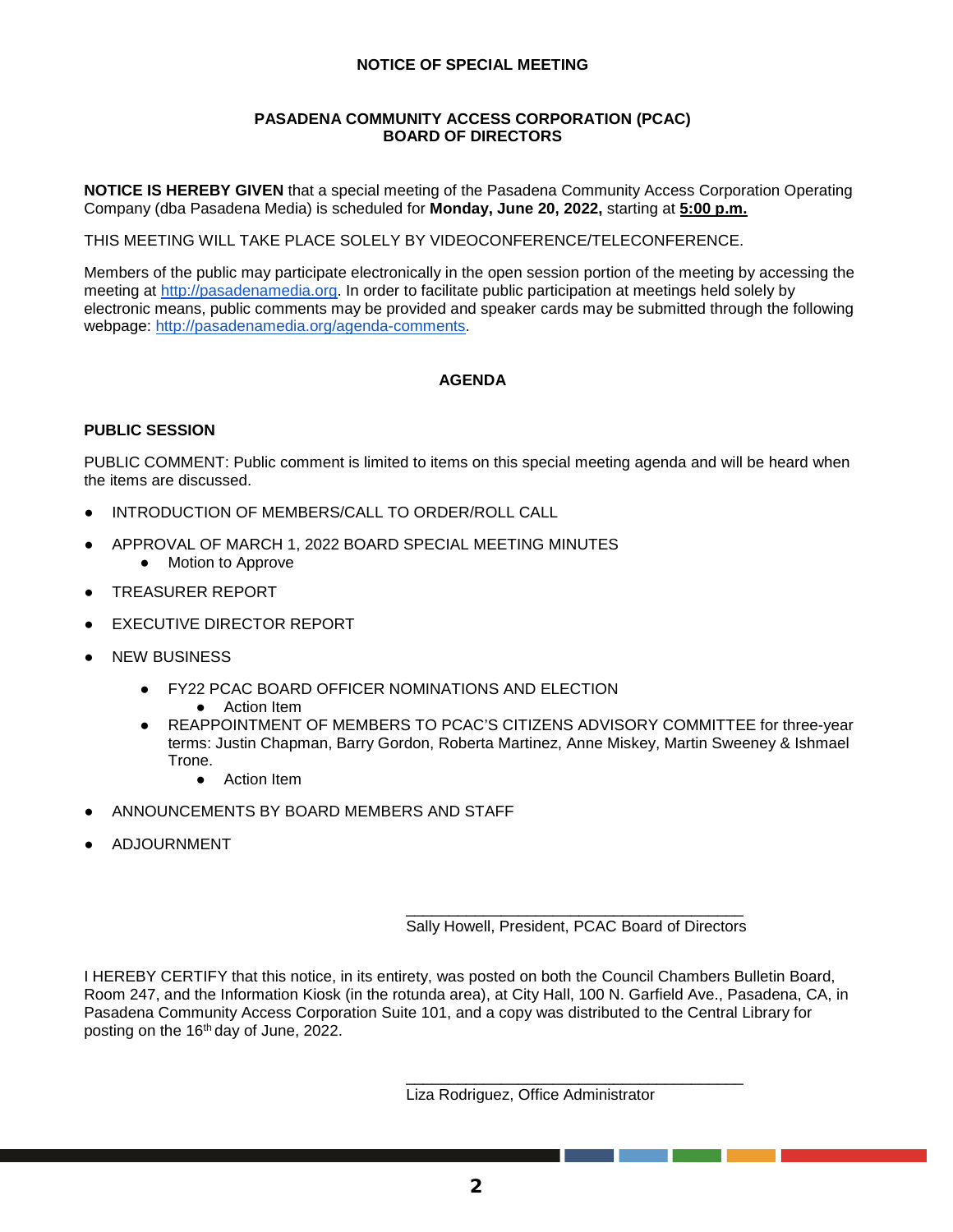#### **NOTICE OF SPECIAL MEETING**

#### **PASADENA COMMUNITY ACCESS CORPORATION (PCAC) BOARD OF DIRECTORS**

**NOTICE IS HEREBY GIVEN** that a special meeting of the Pasadena Community Access Corporation Operating Company (dba Pasadena Media) is scheduled for **Monday, June 20, 2022,** starting at **5:00 p.m.**

THIS MEETING WILL TAKE PLACE SOLELY BY VIDEOCONFERENCE/TELECONFERENCE.

Members of the public may participate electronically in the open session portion of the meeting by accessing the meeting at [http://pasadenamedia.org.](http://pasadenamedia.org/) In order to facilitate public participation at meetings held solely by electronic means, public comments may be provided and speaker cards may be submitted through the following webpage: [http://pasadenamedia.org/agenda-comments.](http://pasadenamedia.org/agenda-comments)

#### **AGENDA**

#### **PUBLIC SESSION**

PUBLIC COMMENT: Public comment is limited to items on this special meeting agenda and will be heard when the items are discussed.

- INTRODUCTION OF MEMBERS/CALL TO ORDER/ROLL CALL
- APPROVAL OF MARCH 1, 2022 BOARD SPECIAL MEETING MINUTES
	- Motion to Approve
- TREASURER REPORT
- **EXECUTIVE DIRECTOR REPORT**
- **NEW BUSINESS** 
	- FY22 PCAC BOARD OFFICER NOMINATIONS AND ELECTION
		- Action Item
	- REAPPOINTMENT OF MEMBERS TO PCAC'S CITIZENS ADVISORY COMMITTEE for three-year terms: Justin Chapman, Barry Gordon, Roberta Martinez, Anne Miskey, Martin Sweeney & Ishmael Trone.
		- Action Item
- ANNOUNCEMENTS BY BOARD MEMBERS AND STAFF
- **ADJOURNMENT**

\_\_\_\_\_\_\_\_\_\_\_\_\_\_\_\_\_\_\_\_\_\_\_\_\_\_\_\_\_\_\_\_\_\_\_\_\_\_\_ Sally Howell, President, PCAC Board of Directors

\_\_\_\_\_\_\_\_\_\_\_\_\_\_\_\_\_\_\_\_\_\_\_\_\_\_\_\_\_\_\_\_\_\_\_\_\_\_\_

I HEREBY CERTIFY that this notice, in its entirety, was posted on both the Council Chambers Bulletin Board, Room 247, and the Information Kiosk (in the rotunda area), at City Hall, 100 N. Garfield Ave., Pasadena, CA, in Pasadena Community Access Corporation Suite 101, and a copy was distributed to the Central Library for posting on the 16th day of June, 2022.

Liza Rodriguez, Office Administrator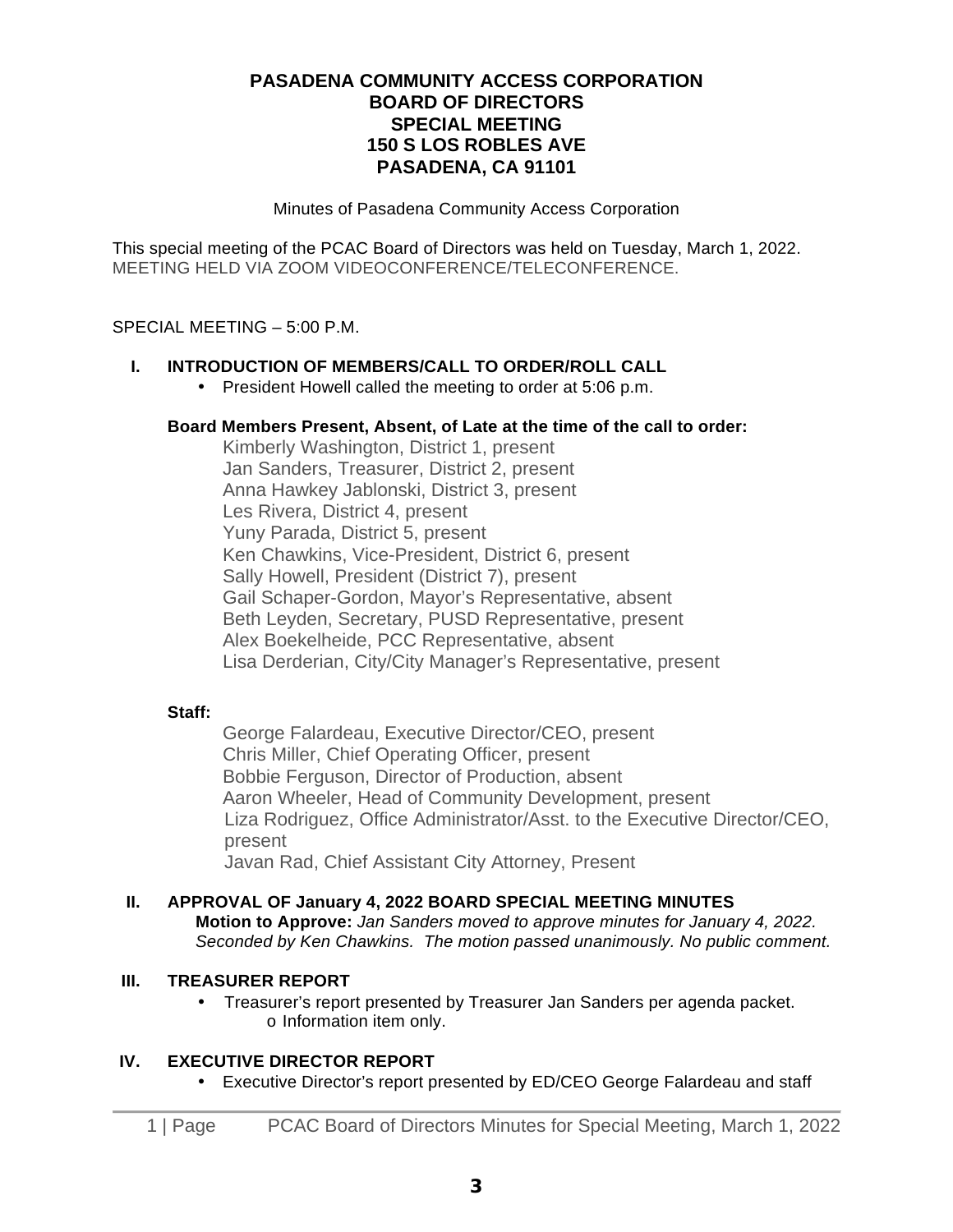## **PASADENA COMMUNITY ACCESS CORPORATION BOARD OF DIRECTORS SPECIAL MEETING 150 S LOS ROBLES AVE PASADENA, CA 91101**

Minutes of Pasadena Community Access Corporation

This special meeting of the PCAC Board of Directors was held on Tuesday, March 1, 2022. MEETING HELD VIA ZOOM VIDEOCONFERENCE/TELECONFERENCE.

#### SPECIAL MEETING – 5:00 P.M.

#### **I. INTRODUCTION OF MEMBERS/CALL TO ORDER/ROLL CALL**

• President Howell called the meeting to order at 5:06 p.m.

#### **Board Members Present, Absent, of Late at the time of the call to order:**

Kimberly Washington, District 1, present Jan Sanders, Treasurer, District 2, present Anna Hawkey Jablonski, District 3, present Les Rivera, District 4, present Yuny Parada, District 5, present Ken Chawkins, Vice-President, District 6, present Sally Howell, President (District 7), present Gail Schaper-Gordon, Mayor's Representative, absent Beth Leyden, Secretary, PUSD Representative, present Alex Boekelheide, PCC Representative, absent Lisa Derderian, City/City Manager's Representative, present

#### **Staff:**

George Falardeau, Executive Director/CEO, present Chris Miller, Chief Operating Officer, present Bobbie Ferguson, Director of Production, absent Aaron Wheeler, Head of Community Development, present Liza Rodriguez, Office Administrator/Asst. to the Executive Director/CEO, present Javan Rad, Chief Assistant City Attorney, Present

#### **II. APPROVAL OF January 4, 2022 BOARD SPECIAL MEETING MINUTES Motion to Approve:** *Jan Sanders moved to approve minutes for January 4, 2022. Seconded by Ken Chawkins. The motion passed unanimously. No public comment.*

#### **III. TREASURER REPORT**

• Treasurer's report presented by Treasurer Jan Sanders per agenda packet. o Information item only.

#### **IV. EXECUTIVE DIRECTOR REPORT**

• Executive Director's report presented by ED/CEO George Falardeau and staff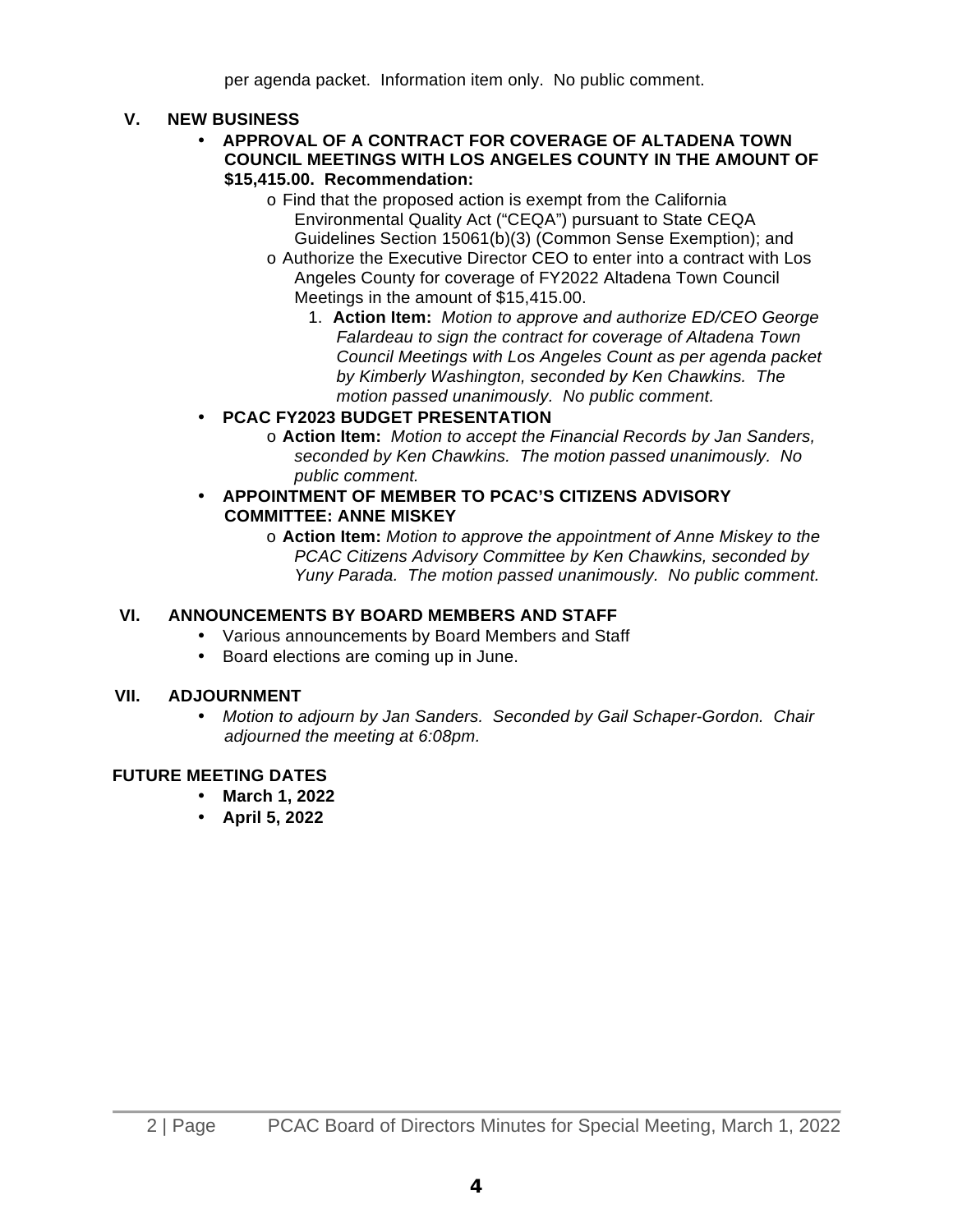per agenda packet. Information item only. No public comment.

## **V. NEW BUSINESS**

- **APPROVAL OF A CONTRACT FOR COVERAGE OF ALTADENA TOWN COUNCIL MEETINGS WITH LOS ANGELES COUNTY IN THE AMOUNT OF \$15,415.00. Recommendation:**
	- o Find that the proposed action is exempt from the California Environmental Quality Act ("CEQA") pursuant to State CEQA Guidelines Section 15061(b)(3) (Common Sense Exemption); and
	- o Authorize the Executive Director CEO to enter into a contract with Los Angeles County for coverage of FY2022 Altadena Town Council Meetings in the amount of \$15,415.00.
		- 1. **Action Item:** *Motion to approve and authorize ED/CEO George Falardeau to sign the contract for coverage of Altadena Town Council Meetings with Los Angeles Count as per agenda packet by Kimberly Washington, seconded by Ken Chawkins. The motion passed unanimously. No public comment.*

## • **PCAC FY2023 BUDGET PRESENTATION**

o **Action Item:** *Motion to accept the Financial Records by Jan Sanders, seconded by Ken Chawkins. The motion passed unanimously. No public comment.*

## • **APPOINTMENT OF MEMBER TO PCAC'S CITIZENS ADVISORY COMMITTEE: ANNE MISKEY**

o **Action Item:** *Motion to approve the appointment of Anne Miskey to the PCAC Citizens Advisory Committee by Ken Chawkins, seconded by Yuny Parada. The motion passed unanimously. No public comment.*

## **VI. ANNOUNCEMENTS BY BOARD MEMBERS AND STAFF**

- Various announcements by Board Members and Staff
- Board elections are coming up in June.

## **VII. ADJOURNMENT**

• *Motion to adjourn by Jan Sanders. Seconded by Gail Schaper-Gordon. Chair adjourned the meeting at 6:08pm.*

## **FUTURE MEETING DATES**

- **March 1, 2022**
- **April 5, 2022**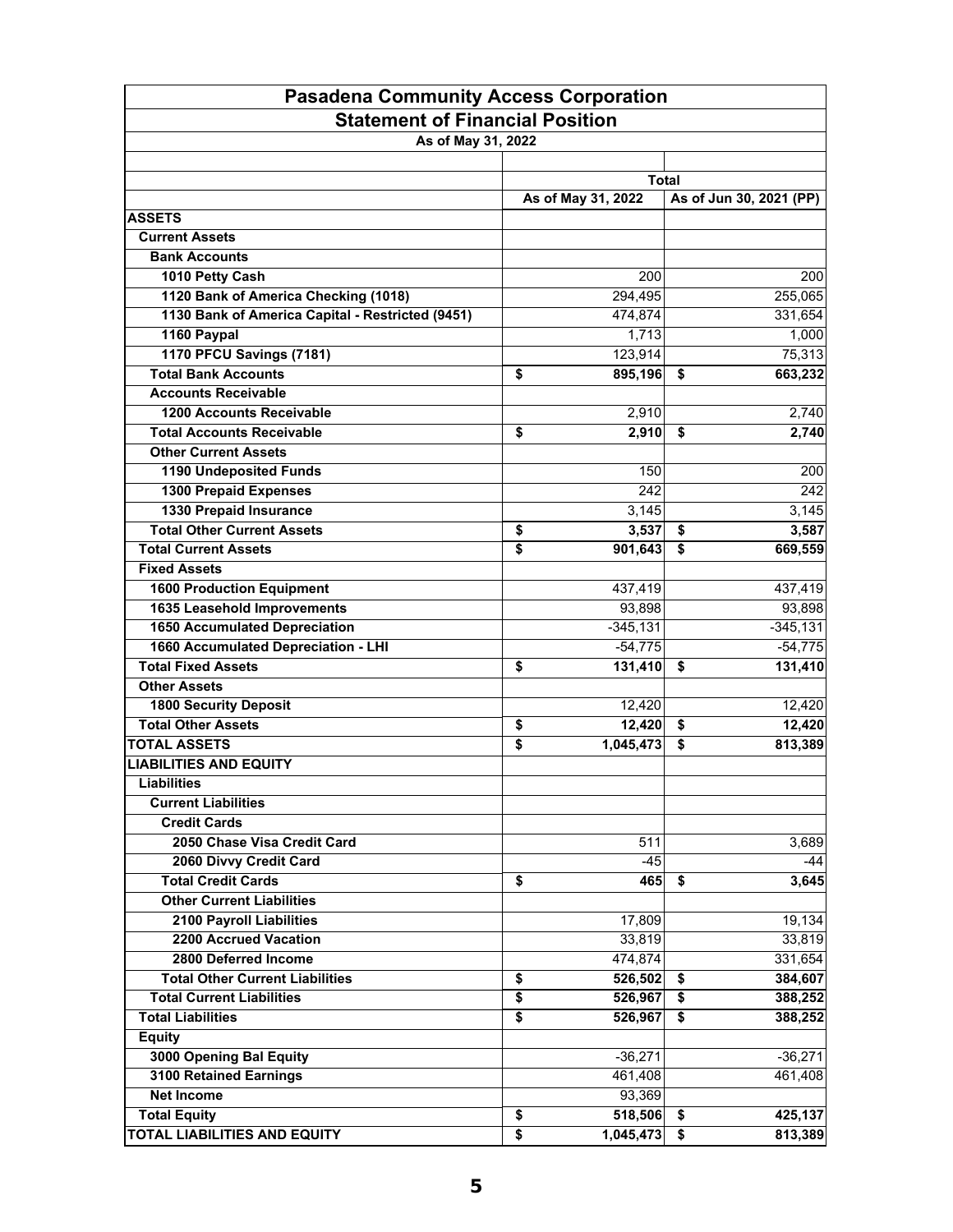| <b>Pasadena Community Access Corporation</b>     |                    |                                 |  |  |  |  |  |  |
|--------------------------------------------------|--------------------|---------------------------------|--|--|--|--|--|--|
| <b>Statement of Financial Position</b>           |                    |                                 |  |  |  |  |  |  |
| As of May 31, 2022                               |                    |                                 |  |  |  |  |  |  |
|                                                  |                    |                                 |  |  |  |  |  |  |
|                                                  |                    | <b>Total</b>                    |  |  |  |  |  |  |
|                                                  | As of May 31, 2022 | As of Jun 30, 2021 (PP)         |  |  |  |  |  |  |
| <b>ASSETS</b>                                    |                    |                                 |  |  |  |  |  |  |
| <b>Current Assets</b>                            |                    |                                 |  |  |  |  |  |  |
| <b>Bank Accounts</b>                             |                    |                                 |  |  |  |  |  |  |
| 1010 Petty Cash                                  | 200                | 200                             |  |  |  |  |  |  |
| 1120 Bank of America Checking (1018)             | 294,495            | 255,065                         |  |  |  |  |  |  |
| 1130 Bank of America Capital - Restricted (9451) | 474,874            | 331,654                         |  |  |  |  |  |  |
| 1160 Paypal                                      | 1,713              | 1,000                           |  |  |  |  |  |  |
| 1170 PFCU Savings (7181)                         | 123,914            | 75,313                          |  |  |  |  |  |  |
| <b>Total Bank Accounts</b>                       | \$<br>895,196      | \$<br>663,232                   |  |  |  |  |  |  |
| <b>Accounts Receivable</b>                       |                    |                                 |  |  |  |  |  |  |
| <b>1200 Accounts Receivable</b>                  | 2,910              | 2,740                           |  |  |  |  |  |  |
| <b>Total Accounts Receivable</b>                 | \$<br>2,910        | 2,740<br>\$                     |  |  |  |  |  |  |
| <b>Other Current Assets</b>                      |                    |                                 |  |  |  |  |  |  |
| 1190 Undeposited Funds                           | 150                | 200                             |  |  |  |  |  |  |
| 1300 Prepaid Expenses                            | 242                | 242                             |  |  |  |  |  |  |
| <b>1330 Prepaid Insurance</b>                    | 3,145              | 3,145                           |  |  |  |  |  |  |
| <b>Total Other Current Assets</b>                | \$<br>3,537        | \$<br>3,587                     |  |  |  |  |  |  |
| <b>Total Current Assets</b>                      | \$<br>901,643      | \$<br>669,559                   |  |  |  |  |  |  |
| <b>Fixed Assets</b>                              |                    |                                 |  |  |  |  |  |  |
| <b>1600 Production Equipment</b>                 | 437,419            | 437,419                         |  |  |  |  |  |  |
| 1635 Leasehold Improvements                      | 93,898             | 93,898                          |  |  |  |  |  |  |
| <b>1650 Accumulated Depreciation</b>             | $-345,131$         | $-345,131$                      |  |  |  |  |  |  |
| 1660 Accumulated Depreciation - LHI              | $-54,775$          | $-54,775$                       |  |  |  |  |  |  |
| <b>Total Fixed Assets</b>                        | \$<br>131,410      | 131,410<br>\$                   |  |  |  |  |  |  |
| <b>Other Assets</b>                              |                    |                                 |  |  |  |  |  |  |
| <b>1800 Security Deposit</b>                     | 12,420             | 12,420                          |  |  |  |  |  |  |
| <b>Total Other Assets</b>                        | \$<br>12,420       | \$<br>12,420                    |  |  |  |  |  |  |
| <b>TOTAL ASSETS</b>                              | \$<br>1,045,473    | \$<br>813,389                   |  |  |  |  |  |  |
| <b>LIABILITIES AND EQUITY</b>                    |                    |                                 |  |  |  |  |  |  |
| <b>Liabilities</b>                               |                    |                                 |  |  |  |  |  |  |
| <b>Current Liabilities</b>                       |                    |                                 |  |  |  |  |  |  |
| <b>Credit Cards</b>                              |                    |                                 |  |  |  |  |  |  |
| 2050 Chase Visa Credit Card                      | 511                | 3,689                           |  |  |  |  |  |  |
| 2060 Divvy Credit Card                           | $-45$              | $-44$                           |  |  |  |  |  |  |
| <b>Total Credit Cards</b>                        | \$<br>465          | 3,645<br>\$                     |  |  |  |  |  |  |
| <b>Other Current Liabilities</b>                 |                    |                                 |  |  |  |  |  |  |
| 2100 Payroll Liabilities                         | 17,809             | 19,134                          |  |  |  |  |  |  |
| 2200 Accrued Vacation                            | 33,819             | 33,819                          |  |  |  |  |  |  |
| 2800 Deferred Income                             | 474,874            | 331,654                         |  |  |  |  |  |  |
| <b>Total Other Current Liabilities</b>           | \$<br>526,502      | \$<br>384,607                   |  |  |  |  |  |  |
| <b>Total Current Liabilities</b>                 | \$<br>526,967      | \$<br>388,252                   |  |  |  |  |  |  |
| <b>Total Liabilities</b>                         | \$<br>526,967      | $\overline{\bullet}$<br>388,252 |  |  |  |  |  |  |
| <b>Equity</b>                                    |                    |                                 |  |  |  |  |  |  |
| 3000 Opening Bal Equity                          | $-36,271$          | $-36,271$                       |  |  |  |  |  |  |
| 3100 Retained Earnings                           | 461,408            | 461,408                         |  |  |  |  |  |  |
| <b>Net Income</b>                                | 93,369             |                                 |  |  |  |  |  |  |
| <b>Total Equity</b>                              | \$<br>518,506      | 425,137<br>\$                   |  |  |  |  |  |  |
| <b>TOTAL LIABILITIES AND EQUITY</b>              | \$<br>1,045,473    | 813,389<br>\$                   |  |  |  |  |  |  |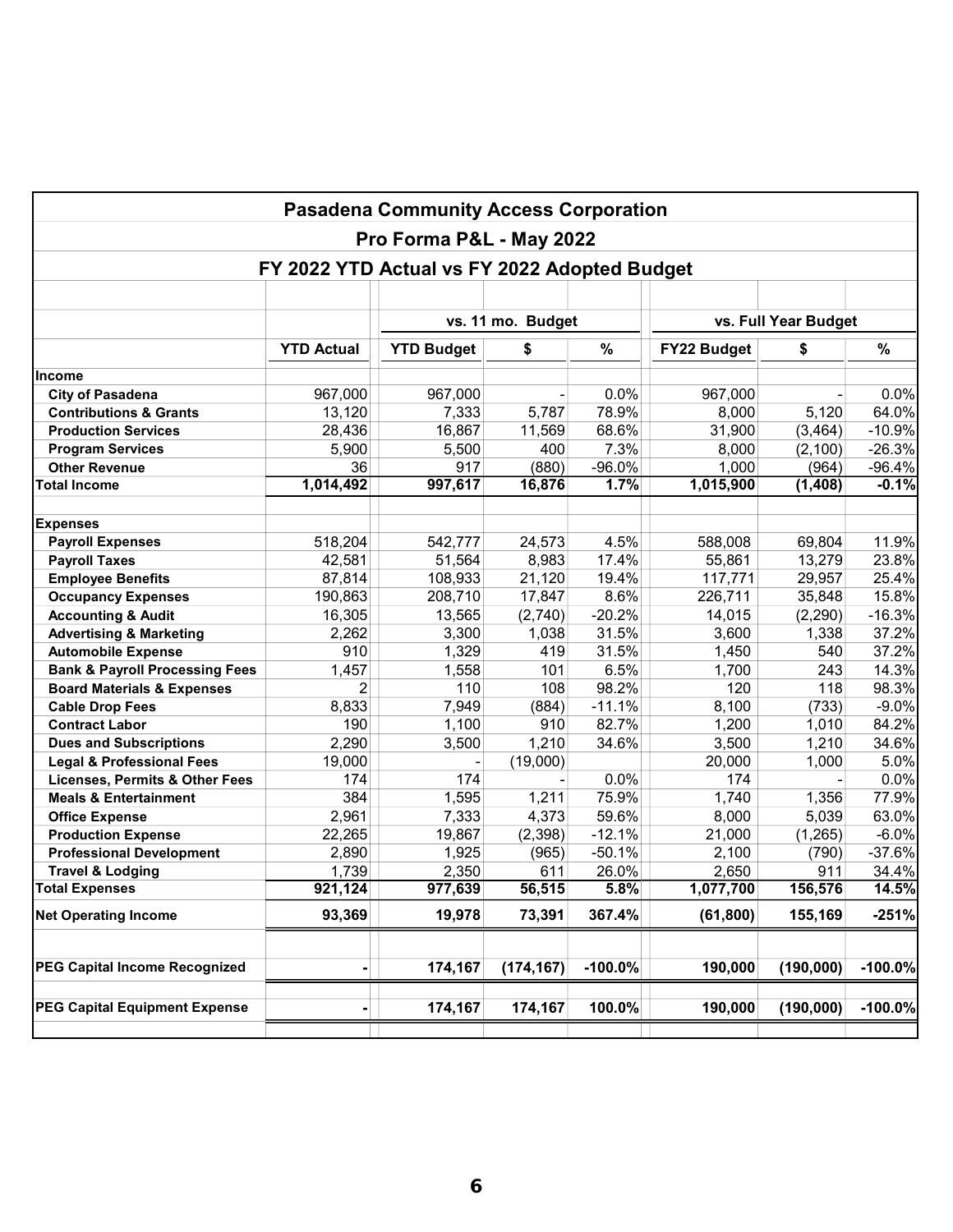| <b>Pasadena Community Access Corporation</b>                             |                   |                   |                                           |           |                    |           |           |  |  |
|--------------------------------------------------------------------------|-------------------|-------------------|-------------------------------------------|-----------|--------------------|-----------|-----------|--|--|
| Pro Forma P&L - May 2022<br>FY 2022 YTD Actual vs FY 2022 Adopted Budget |                   |                   |                                           |           |                    |           |           |  |  |
|                                                                          |                   |                   |                                           |           |                    |           |           |  |  |
|                                                                          |                   |                   | vs. Full Year Budget<br>vs. 11 mo. Budget |           |                    |           |           |  |  |
|                                                                          | <b>YTD Actual</b> | <b>YTD Budget</b> | \$                                        | %         | <b>FY22 Budget</b> | \$        | %         |  |  |
| <b>Income</b>                                                            |                   |                   |                                           |           |                    |           |           |  |  |
| <b>City of Pasadena</b>                                                  | 967,000           | 967,000           |                                           | 0.0%      | 967,000            |           | 0.0%      |  |  |
| <b>Contributions &amp; Grants</b>                                        | 13,120            | 7,333             | 5,787                                     | 78.9%     | 8,000              | 5,120     | 64.0%     |  |  |
| <b>Production Services</b>                                               | 28,436            | 16,867            | 11,569                                    | 68.6%     | 31,900             | (3, 464)  | $-10.9%$  |  |  |
| <b>Program Services</b>                                                  | 5,900             | 5,500             | 400                                       | 7.3%      | 8,000              | (2, 100)  | $-26.3%$  |  |  |
| <b>Other Revenue</b>                                                     | 36                | 917               | (880)                                     | $-96.0%$  | 1,000              | (964)     | $-96.4%$  |  |  |
| <b>Total Income</b>                                                      | 1,014,492         | 997,617           | 16,876                                    | 1.7%      | 1,015,900          | (1,408)   | $-0.1%$   |  |  |
| <b>Expenses</b>                                                          |                   |                   |                                           |           |                    |           |           |  |  |
| <b>Payroll Expenses</b>                                                  | 518,204           | 542,777           | 24,573                                    | 4.5%      | 588,008            | 69,804    | 11.9%     |  |  |
| <b>Payroll Taxes</b>                                                     | 42,581            | 51,564            | 8,983                                     | 17.4%     | 55,861             | 13,279    | 23.8%     |  |  |
| <b>Employee Benefits</b>                                                 | 87,814            | 108,933           | 21,120                                    | 19.4%     | 117,771            | 29,957    | 25.4%     |  |  |
| <b>Occupancy Expenses</b>                                                | 190,863           | 208,710           | 17,847                                    | 8.6%      | 226,711            | 35,848    | 15.8%     |  |  |
| <b>Accounting &amp; Audit</b>                                            | 16,305            | 13,565            | (2,740)                                   | $-20.2%$  | 14,015             | (2,290)   | $-16.3%$  |  |  |
| <b>Advertising &amp; Marketing</b>                                       | 2,262             | 3,300             | 1,038                                     | 31.5%     | 3,600              | 1,338     | 37.2%     |  |  |
| <b>Automobile Expense</b>                                                | 910               | 1,329             | 419                                       | 31.5%     | 1,450              | 540       | 37.2%     |  |  |
| <b>Bank &amp; Payroll Processing Fees</b>                                | 1,457             | 1,558             | 101                                       | 6.5%      | 1,700              | 243       | 14.3%     |  |  |
| <b>Board Materials &amp; Expenses</b>                                    | $\overline{2}$    | 110               | 108                                       | 98.2%     | 120                | 118       | 98.3%     |  |  |
| <b>Cable Drop Fees</b>                                                   | 8,833             | 7,949             | (884)                                     | $-11.1%$  | 8,100              | (733)     | $-9.0%$   |  |  |
| <b>Contract Labor</b>                                                    | 190               | 1,100             | 910                                       | 82.7%     | 1,200              | 1,010     | 84.2%     |  |  |
| <b>Dues and Subscriptions</b>                                            | 2,290             | 3,500             | 1,210                                     | 34.6%     | 3,500              | 1,210     | 34.6%     |  |  |
| <b>Legal &amp; Professional Fees</b>                                     | 19,000            |                   | (19,000)                                  |           | 20,000             | 1,000     | 5.0%      |  |  |
| <b>Licenses, Permits &amp; Other Fees</b>                                | 174               | 174               |                                           | 0.0%      | 174                |           | 0.0%      |  |  |
| <b>Meals &amp; Entertainment</b>                                         | 384               | 1,595             | 1,211                                     | 75.9%     | 1,740              | 1,356     | 77.9%     |  |  |
| <b>Office Expense</b>                                                    | 2,961             | 7,333             | 4,373                                     | 59.6%     | 8,000              | 5,039     | 63.0%     |  |  |
| <b>Production Expense</b>                                                | 22,265            | 19,867            | (2, 398)                                  | $-12.1%$  | 21,000             | (1,265)   | $-6.0%$   |  |  |
| <b>Professional Development</b>                                          | 2,890             | 1,925             | (965)                                     | $-50.1%$  | 2,100              | (790)     | $-37.6%$  |  |  |
| <b>Travel &amp; Lodging</b>                                              | 1,739             | 2,350             | 611                                       | 26.0%     | 2,650              | 911       | 34.4%     |  |  |
| Total Expenses                                                           | 921,124           | 977,639           | 56,515                                    | $5.8\%$   | 1,077,700          | 156,576   | 14.5%     |  |  |
| <b>Net Operating Income</b>                                              | 93,369            | 19,978            | 73,391                                    | 367.4%    | (61, 800)          | 155,169   | $-251%$   |  |  |
| <b>PEG Capital Income Recognized</b>                                     |                   | 174,167           | (174, 167)                                | $-100.0%$ | 190,000            | (190,000) | $-100.0%$ |  |  |
|                                                                          |                   |                   |                                           |           |                    |           |           |  |  |
| <b>PEG Capital Equipment Expense</b>                                     |                   | 174,167           | 174,167                                   | 100.0%    | 190,000            | (190,000) | $-100.0%$ |  |  |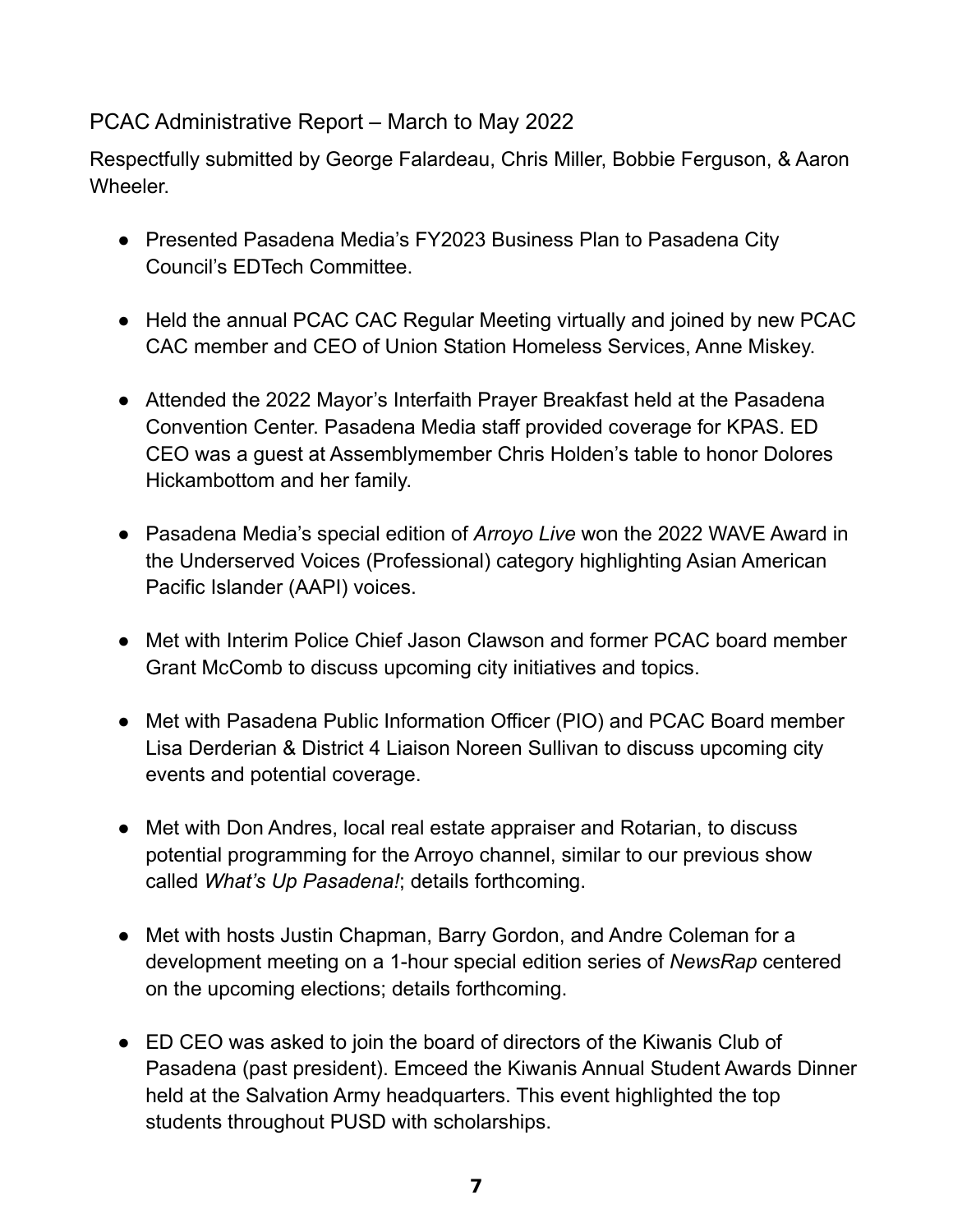# PCAC Administrative Report – March to May 2022

Respectfully submitted by George Falardeau, Chris Miller, Bobbie Ferguson, & Aaron Wheeler.

- Presented Pasadena Media's FY2023 Business Plan to Pasadena City Council's EDTech Committee.
- Held the annual PCAC CAC Regular Meeting virtually and joined by new PCAC CAC member and CEO of Union Station Homeless Services, Anne Miskey.
- Attended the 2022 Mayor's Interfaith Prayer Breakfast held at the Pasadena Convention Center. Pasadena Media staff provided coverage for KPAS. ED CEO was a guest at Assemblymember Chris Holden's table to honor Dolores Hickambottom and her family.
- Pasadena Media's special edition of *Arroyo Live* won the 2022 WAVE Award in the Underserved Voices (Professional) category highlighting Asian American Pacific Islander (AAPI) voices.
- Met with Interim Police Chief Jason Clawson and former PCAC board member Grant McComb to discuss upcoming city initiatives and topics.
- Met with Pasadena Public Information Officer (PIO) and PCAC Board member Lisa Derderian & District 4 Liaison Noreen Sullivan to discuss upcoming city events and potential coverage.
- Met with Don Andres, local real estate appraiser and Rotarian, to discuss potential programming for the Arroyo channel, similar to our previous show called *What's Up Pasadena!*; details forthcoming.
- Met with hosts Justin Chapman, Barry Gordon, and Andre Coleman for a development meeting on a 1-hour special edition series of *NewsRap* centered on the upcoming elections; details forthcoming.
- ED CEO was asked to join the board of directors of the Kiwanis Club of Pasadena (past president). Emceed the Kiwanis Annual Student Awards Dinner held at the Salvation Army headquarters. This event highlighted the top students throughout PUSD with scholarships.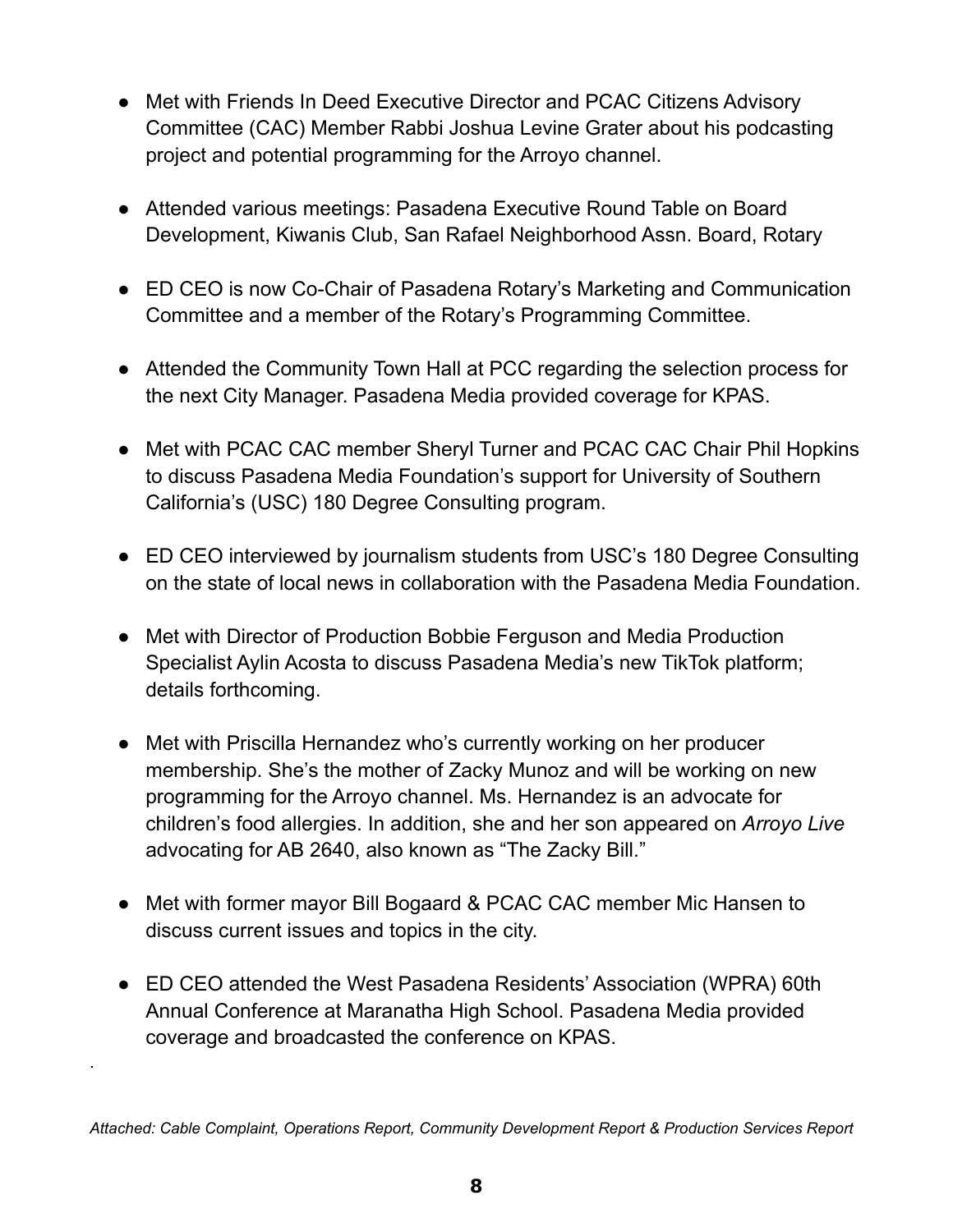- Met with Friends In Deed Executive Director and PCAC Citizens Advisory Committee (CAC) Member Rabbi Joshua Levine Grater about his podcasting project and potential programming for the Arroyo channel.
- Attended various meetings: Pasadena Executive Round Table on Board Development, Kiwanis Club, San Rafael Neighborhood Assn. Board, Rotary
- ED CEO is now Co-Chair of Pasadena Rotary's Marketing and Communication Committee and a member of the Rotary's Programming Committee.
- Attended the Community Town Hall at PCC regarding the selection process for the next City Manager. Pasadena Media provided coverage for KPAS.
- Met with PCAC CAC member Sheryl Turner and PCAC CAC Chair Phil Hopkins to discuss Pasadena Media Foundation's support for University of Southern California's (USC) 180 Degree Consulting program.
- ED CEO interviewed by journalism students from USC's 180 Degree Consulting on the state of local news in collaboration with the Pasadena Media Foundation.
- Met with Director of Production Bobbie Ferguson and Media Production Specialist Aylin Acosta to discuss Pasadena Media's new TikTok platform; details forthcoming.
- Met with Priscilla Hernandez who's currently working on her producer membership. She's the mother of Zacky Munoz and will be working on new programming for the Arroyo channel. Ms. Hernandez is an advocate for children's food allergies. In addition, she and her son appeared on *Arroyo Live* advocating for AB 2640, also known as "The Zacky Bill."
- Met with former mayor Bill Bogaard & PCAC CAC member Mic Hansen to discuss current issues and topics in the city.
- ED CEO attended the West Pasadena Residents' Association (WPRA) 60th Annual Conference at Maranatha High School. Pasadena Media provided coverage and broadcasted the conference on KPAS.

.

*Attached: Cable Complaint, Operations Report, Community Development Report & Production Services Report*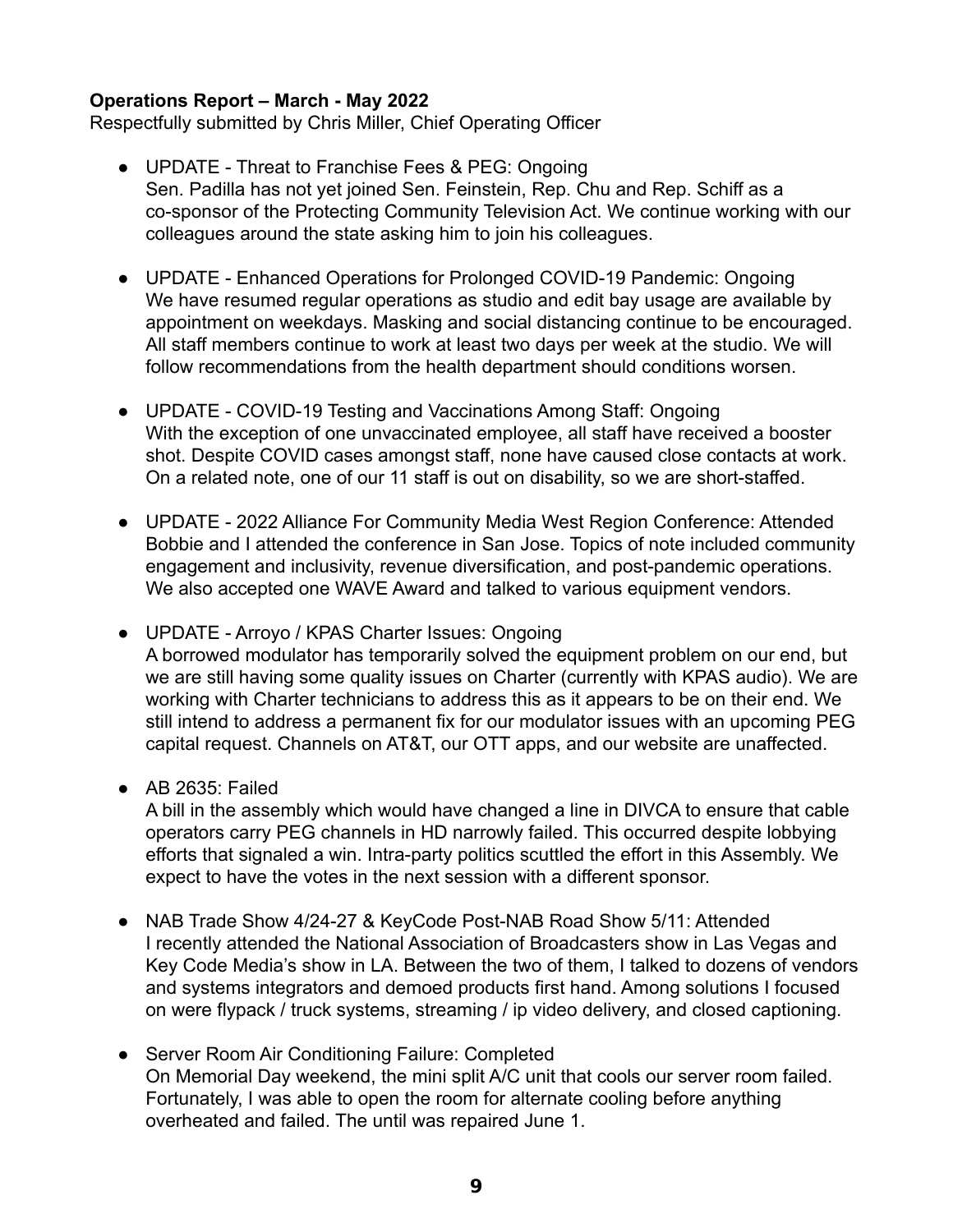## **Operations Report – March - May 2022**

Respectfully submitted by Chris Miller, Chief Operating Officer

- UPDATE Threat to Franchise Fees & PEG: Ongoing Sen. Padilla has not yet joined Sen. Feinstein, Rep. Chu and Rep. Schiff as a co-sponsor of the Protecting Community Television Act. We continue working with our colleagues around the state asking him to join his colleagues.
- UPDATE Enhanced Operations for Prolonged COVID-19 Pandemic: Ongoing We have resumed regular operations as studio and edit bay usage are available by appointment on weekdays. Masking and social distancing continue to be encouraged. All staff members continue to work at least two days per week at the studio. We will follow recommendations from the health department should conditions worsen.
- UPDATE COVID-19 Testing and Vaccinations Among Staff: Ongoing With the exception of one unvaccinated employee, all staff have received a booster shot. Despite COVID cases amongst staff, none have caused close contacts at work. On a related note, one of our 11 staff is out on disability, so we are short-staffed.
- UPDATE 2022 Alliance For Community Media West Region Conference: Attended Bobbie and I attended the conference in San Jose. Topics of note included community engagement and inclusivity, revenue diversification, and post-pandemic operations. We also accepted one WAVE Award and talked to various equipment vendors.
- UPDATE Arroyo / KPAS Charter Issues: Ongoing A borrowed modulator has temporarily solved the equipment problem on our end, but we are still having some quality issues on Charter (currently with KPAS audio). We are working with Charter technicians to address this as it appears to be on their end. We still intend to address a permanent fix for our modulator issues with an upcoming PEG capital request. Channels on AT&T, our OTT apps, and our website are unaffected.
- AB 2635: Failed

A bill in the assembly which would have changed a line in DIVCA to ensure that cable operators carry PEG channels in HD narrowly failed. This occurred despite lobbying efforts that signaled a win. Intra-party politics scuttled the effort in this Assembly. We expect to have the votes in the next session with a different sponsor.

- NAB Trade Show 4/24-27 & KeyCode Post-NAB Road Show 5/11: Attended I recently attended the National Association of Broadcasters show in Las Vegas and Key Code Media's show in LA. Between the two of them, I talked to dozens of vendors and systems integrators and demoed products first hand. Among solutions I focused on were flypack / truck systems, streaming / ip video delivery, and closed captioning.
- Server Room Air Conditioning Failure: Completed On Memorial Day weekend, the mini split A/C unit that cools our server room failed. Fortunately, I was able to open the room for alternate cooling before anything overheated and failed. The until was repaired June 1.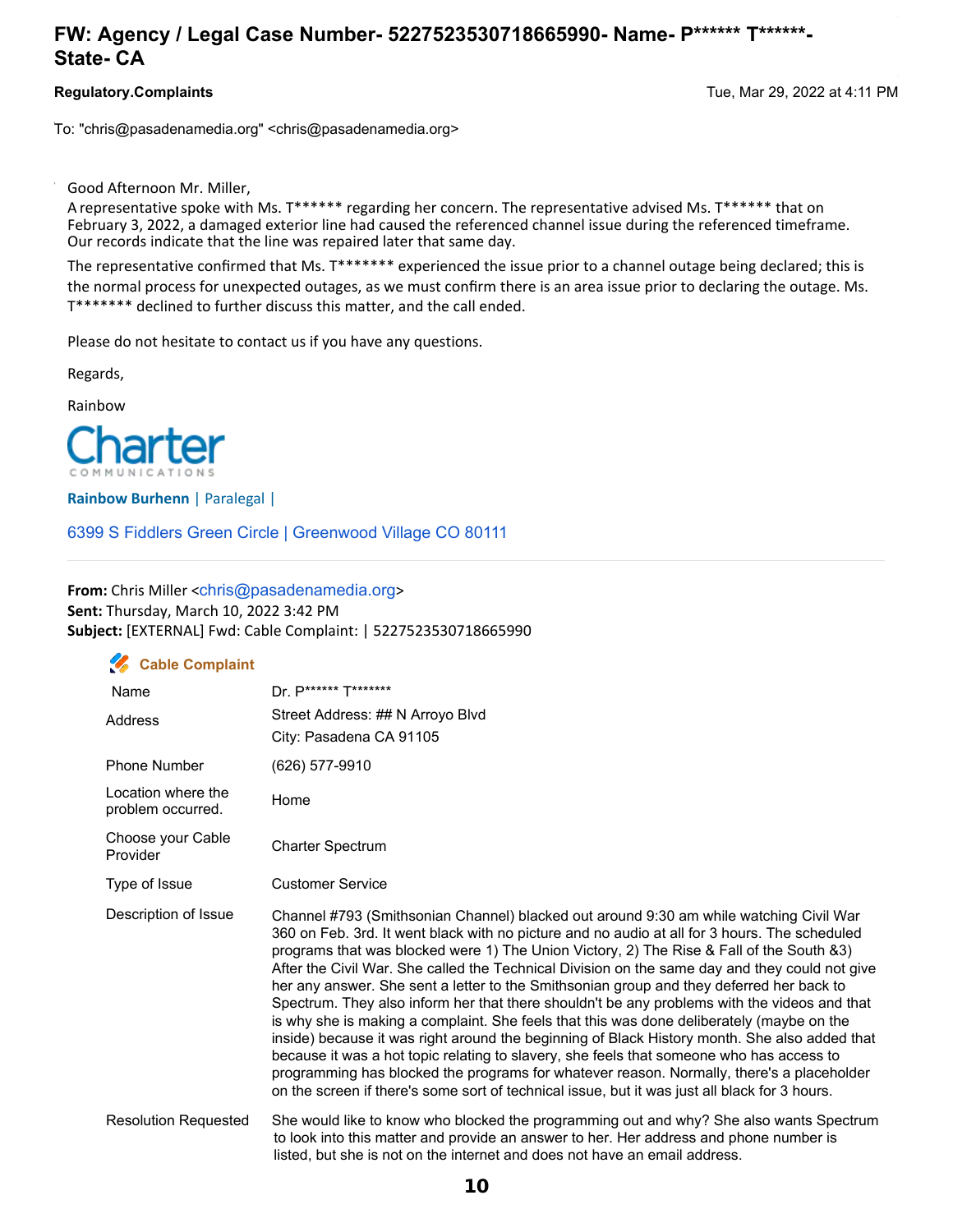## **FW: Agency / Legal Case Number- 5227523530718665990- Name- P\*\*\*\*\*\* T\*\*\*\*\*\*- State- CA**

**Regulatory.Complaints** Tue, Mar 29, 2022 at 4:11 PM

To: "chris@pasadenamedia.org" <chris@pasadenamedia.org>

Good Afternoon Mr. Miller,

A representative spoke with Ms. T\*\*\*\*\*\* regarding her concern. The representative advised Ms. T\*\*\*\*\*\* that on February 3, 2022, a damaged exterior line had caused the referenced channel issue during the referenced timeframe. Our records indicate that the line was repaired later that same day.

The representative confirmed that Ms. T\*\*\*\*\*\*\* experienced the issue prior to a channel outage being declared; this is the normal process for unexpected outages, as we must confirm there is an area issue prior to declaring the outage. Ms. T\*\*\*\*\*\*\* declined to further discuss this matter, and the call ended.

Please do not hesitate to contact us if you have any questions.

Regards,

Rainbow



**Rainbow Burhenn** | Paralegal |

6399 S Fiddlers Green Circle | Greenwood Village CO 80111

**From:** Chris Miller <chris@pasadenamedia.org> **Sent:** Thursday, March 10, 2022 3:42 PM **Subject:** [EXTERNAL] Fwd: Cable Complaint: | 5227523530718665990

## **Cable Complaint**

| Name                                    | Dr. P****** T*******                                                                                                                                                                                                                                                                                                                                                                                                                                                                                                                                                                                                                                                                                                                                                                                                                                                                                                                                                                                                                                                      |
|-----------------------------------------|---------------------------------------------------------------------------------------------------------------------------------------------------------------------------------------------------------------------------------------------------------------------------------------------------------------------------------------------------------------------------------------------------------------------------------------------------------------------------------------------------------------------------------------------------------------------------------------------------------------------------------------------------------------------------------------------------------------------------------------------------------------------------------------------------------------------------------------------------------------------------------------------------------------------------------------------------------------------------------------------------------------------------------------------------------------------------|
| Address                                 | Street Address: ## N Arroyo Blvd<br>City: Pasadena CA 91105                                                                                                                                                                                                                                                                                                                                                                                                                                                                                                                                                                                                                                                                                                                                                                                                                                                                                                                                                                                                               |
| <b>Phone Number</b>                     | (626) 577-9910                                                                                                                                                                                                                                                                                                                                                                                                                                                                                                                                                                                                                                                                                                                                                                                                                                                                                                                                                                                                                                                            |
| Location where the<br>problem occurred. | Home                                                                                                                                                                                                                                                                                                                                                                                                                                                                                                                                                                                                                                                                                                                                                                                                                                                                                                                                                                                                                                                                      |
| Choose your Cable<br>Provider           | <b>Charter Spectrum</b>                                                                                                                                                                                                                                                                                                                                                                                                                                                                                                                                                                                                                                                                                                                                                                                                                                                                                                                                                                                                                                                   |
| Type of Issue                           | <b>Customer Service</b>                                                                                                                                                                                                                                                                                                                                                                                                                                                                                                                                                                                                                                                                                                                                                                                                                                                                                                                                                                                                                                                   |
| Description of Issue                    | Channel #793 (Smithsonian Channel) blacked out around 9:30 am while watching Civil War<br>360 on Feb. 3rd. It went black with no picture and no audio at all for 3 hours. The scheduled<br>programs that was blocked were 1) The Union Victory, 2) The Rise & Fall of the South &3)<br>After the Civil War. She called the Technical Division on the same day and they could not give<br>her any answer. She sent a letter to the Smithsonian group and they deferred her back to<br>Spectrum. They also inform her that there shouldn't be any problems with the videos and that<br>is why she is making a complaint. She feels that this was done deliberately (maybe on the<br>inside) because it was right around the beginning of Black History month. She also added that<br>because it was a hot topic relating to slavery, she feels that someone who has access to<br>programming has blocked the programs for whatever reason. Normally, there's a placeholder<br>on the screen if there's some sort of technical issue, but it was just all black for 3 hours. |
| <b>Resolution Requested</b>             | She would like to know who blocked the programming out and why? She also wants Spectrum<br>to look into this matter and provide an answer to her. Her address and phone number is<br>listed, but she is not on the internet and does not have an email address.                                                                                                                                                                                                                                                                                                                                                                                                                                                                                                                                                                                                                                                                                                                                                                                                           |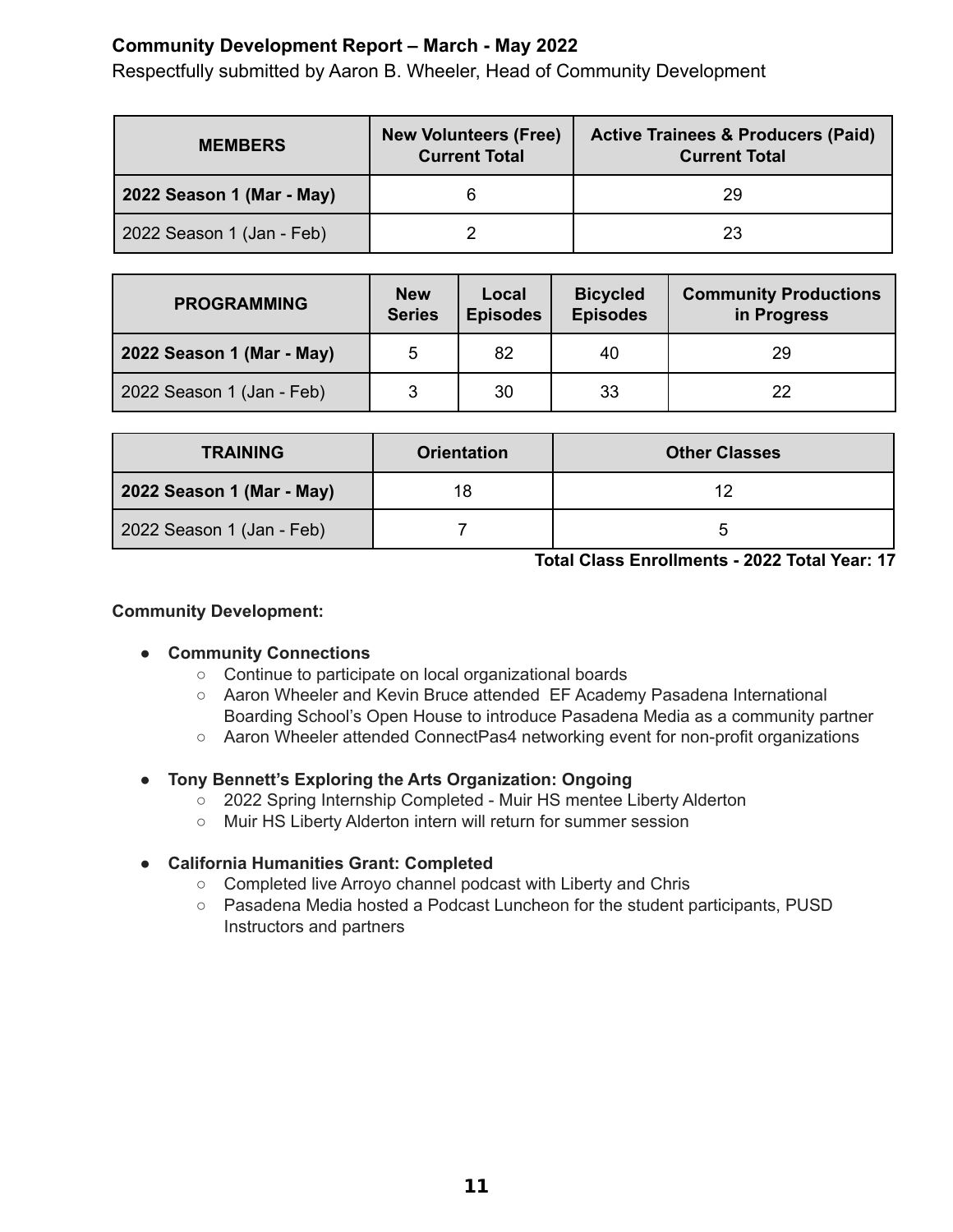# **Community Development Report – March - May 2022**

Respectfully submitted by Aaron B. Wheeler, Head of Community Development

| <b>MEMBERS</b>            | <b>New Volunteers (Free)</b><br><b>Current Total</b> | <b>Active Trainees &amp; Producers (Paid)</b><br><b>Current Total</b> |
|---------------------------|------------------------------------------------------|-----------------------------------------------------------------------|
| 2022 Season 1 (Mar - May) |                                                      | 29                                                                    |
| 2022 Season 1 (Jan - Feb) |                                                      | 23                                                                    |

| <b>PROGRAMMING</b>        | <b>New</b><br><b>Series</b> | Local<br><b>Episodes</b> | <b>Bicycled</b><br><b>Episodes</b> | <b>Community Productions</b><br>in Progress |
|---------------------------|-----------------------------|--------------------------|------------------------------------|---------------------------------------------|
| 2022 Season 1 (Mar - May) | 5                           | 82                       | 40                                 | 29                                          |
| 2022 Season 1 (Jan - Feb) | 2                           | 30                       | 33                                 | 22                                          |

| <b>TRAINING</b>           | <b>Orientation</b> | <b>Other Classes</b> |
|---------------------------|--------------------|----------------------|
| 2022 Season 1 (Mar - May) |                    | 12                   |
| 2022 Season 1 (Jan - Feb) |                    |                      |

**Total Class Enrollments - 2022 Total Year: 17**

### **Community Development:**

## **● Community Connections**

- Continue to participate on local organizational boards
- Aaron Wheeler and Kevin Bruce attended EF Academy Pasadena International Boarding School's Open House to introduce Pasadena Media as a community partner
- Aaron Wheeler attended ConnectPas4 networking event for non-profit organizations

## **● Tony Bennett's Exploring the Arts Organization: Ongoing**

- 2022 Spring Internship Completed Muir HS mentee Liberty Alderton
- Muir HS Liberty Alderton intern will return for summer session

#### **● California Humanities Grant: Completed**

- Completed live Arroyo channel podcast with Liberty and Chris
- Pasadena Media hosted a Podcast Luncheon for the student participants, PUSD Instructors and partners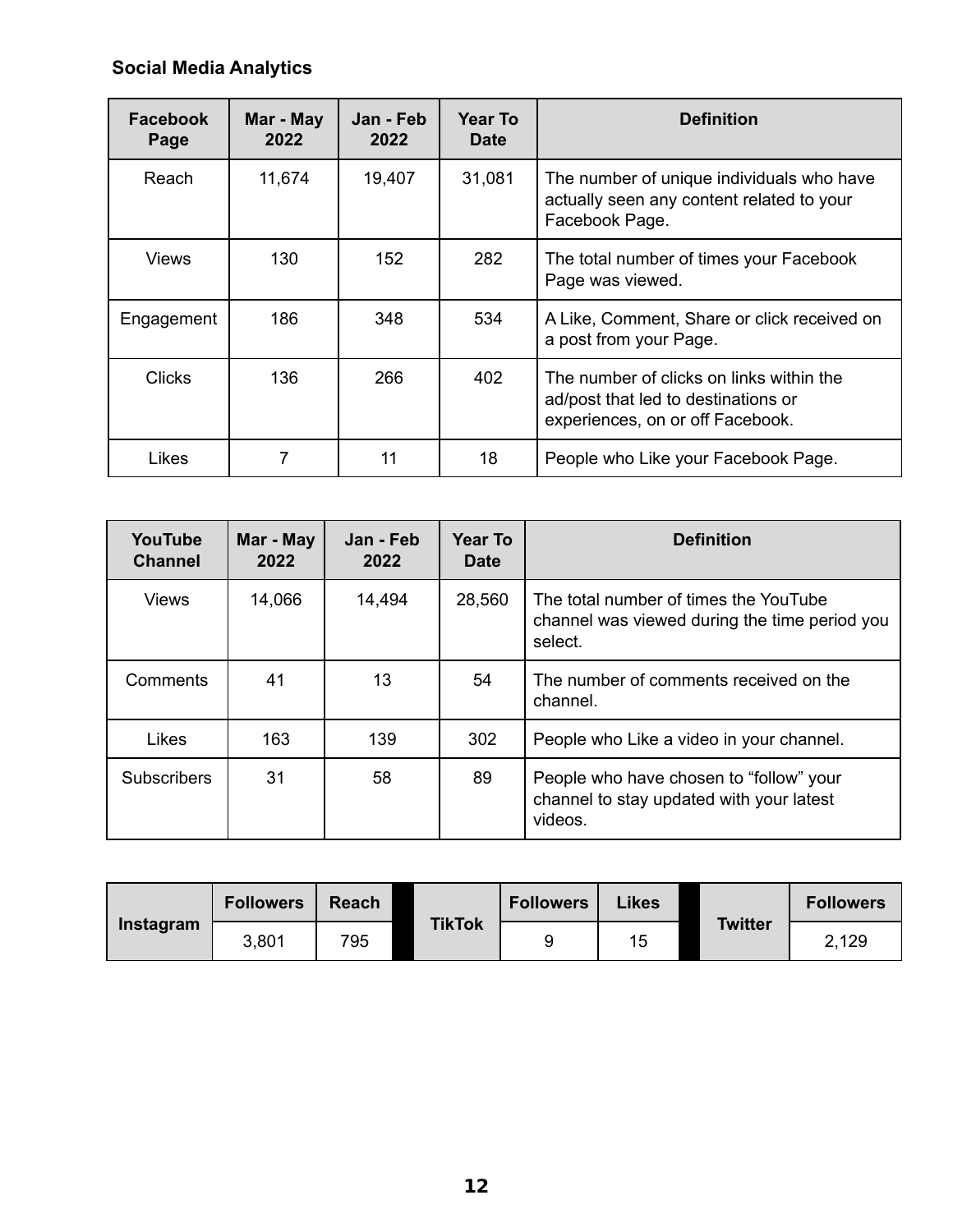# **Social Media Analytics**

| <b>Facebook</b><br>Page | Mar - May<br>2022 | Jan - Feb<br>2022 | Year To<br><b>Date</b> | <b>Definition</b>                                                                                                   |
|-------------------------|-------------------|-------------------|------------------------|---------------------------------------------------------------------------------------------------------------------|
| Reach                   | 11,674            | 19,407            | 31,081                 | The number of unique individuals who have<br>actually seen any content related to your<br>Facebook Page.            |
| Views                   | 130               | 152               | 282                    | The total number of times your Facebook<br>Page was viewed.                                                         |
| Engagement              | 186               | 348               | 534                    | A Like, Comment, Share or click received on<br>a post from your Page.                                               |
| <b>Clicks</b>           | 136               | 266               | 402                    | The number of clicks on links within the<br>ad/post that led to destinations or<br>experiences, on or off Facebook. |
| Likes                   | 7                 | 11                | 18                     | People who Like your Facebook Page.                                                                                 |

| YouTube<br><b>Channel</b> | Mar - May<br>2022 | Jan - Feb<br>2022 | <b>Year To</b><br><b>Date</b> | <b>Definition</b>                                                                                 |
|---------------------------|-------------------|-------------------|-------------------------------|---------------------------------------------------------------------------------------------------|
| <b>Views</b>              | 14,066            | 14,494            | 28,560                        | The total number of times the YouTube<br>channel was viewed during the time period you<br>select. |
| Comments                  | 41                | 13                | 54                            | The number of comments received on the<br>channel.                                                |
| Likes                     | 163               | 139               | 302                           | People who Like a video in your channel.                                                          |
| <b>Subscribers</b>        | 31                | 58                | 89                            | People who have chosen to "follow" your<br>channel to stay updated with your latest<br>videos.    |

|           | <b>Followers</b> | <b>Reach</b> |               | <b>Followers</b> | Likes |                | <b>Followers</b> |
|-----------|------------------|--------------|---------------|------------------|-------|----------------|------------------|
| Instagram | 3,801            | 795          | <b>TikTok</b> |                  | 15    | <b>Twitter</b> | 2,129            |